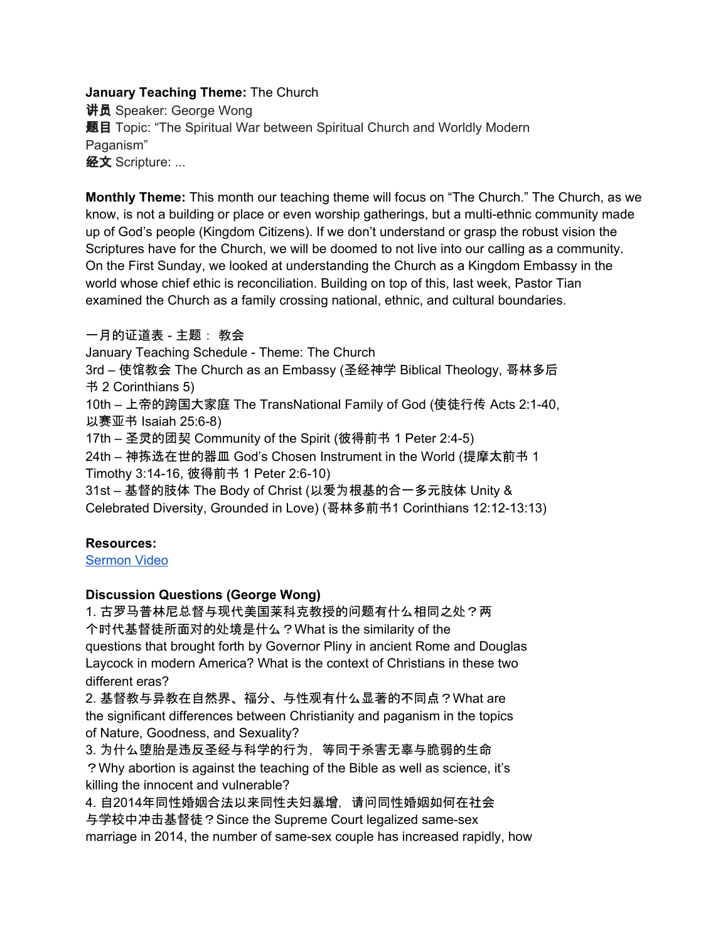### **January Teaching Theme:** The Church

讲员 Speaker: George Wong 题目 Topic: "The Spiritual War between Spiritual Church and Worldly Modern Paganism" 经文 Scripture: ...

**Monthly Theme:** This month our teaching theme will focus on "The Church." The Church, as we know, is not a building or place or even worship gatherings, but a multi-ethnic community made up of God's people (Kingdom Citizens). If we don't understand or grasp the robust vision the Scriptures have for the Church, we will be doomed to not live into our calling as a community. On the First Sunday, we looked at understanding the Church as a Kingdom Embassy in the world whose chief ethic is reconciliation. Building on top of this, last week, Pastor Tian examined the Church as a family crossing national, ethnic, and cultural boundaries.

一月的证道表 - 主题: 教会

January Teaching Schedule - Theme: The Church

3rd – 使馆教会 The Church as an Embassy (圣经神学 Biblical Theology, 哥林多后 书 2 Corinthians 5)

10th – 上帝的跨国大家庭 The TransNational Family of God (使徒行传 Acts 2:1-40, 以赛亚书 Isaiah 25:6-8)

17th – 圣灵的团契 Community of the Spirit (彼得前书 1 Peter 2:4-5)

24th – 神拣选在世的器皿 God's Chosen Instrument in the World (提摩太前书 1 Timothy 3:14-16, 彼得前书 1 Peter 2:6-10)

31st – 基督的肢体 The Body of Christ (以爱为根基的合一多元肢体 Unity & Celebrated Diversity, Grounded in Love) (哥林多前书1 Corinthians 12:12-13:13)

# **Resources:**

[Sermon](https://www.youtube.com/watch?v=9fF47RmNXcI) Video

# **Discussion Questions (George Wong)**

1. 古罗马普林尼总督与现代美国莱科克教授的问题有什么相同之处?两 个时代基督徒所面对的处境是什么?What is the similarity of the questions that brought forth by Governor Pliny in ancient Rome and Douglas Laycock in modern America? What is the context of Christians in these two different eras?

2. 基督教与异教在自然界、福分、与性观有什么显著的不同点?What are the significant differences between Christianity and paganism in the topics of Nature, Goodness, and Sexuality?

3. 为什么堕胎是违反圣经与科学的行为,等同于杀害无辜与脆弱的生命 ?Why abortion is against the teaching of the Bible as well as science, it's killing the innocent and vulnerable?

4. 自2014年同性婚姻合法以来同性夫妇暴增,请问同性婚姻如何在社会 与学校中冲击基督徒?Since the Supreme Court legalized same-sex marriage in 2014, the number of same-sex couple has increased rapidly, how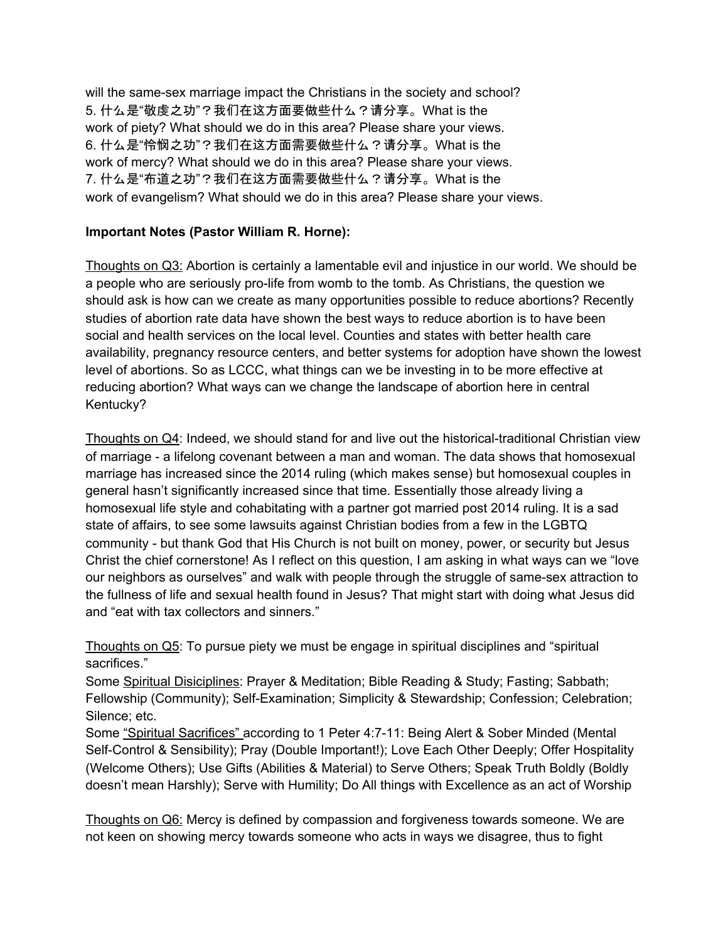will the same-sex marriage impact the Christians in the society and school? 5. 什么是"敬虔之功"?我们在这方面要做些什么?请分享。What is the work of piety? What should we do in this area? Please share your views. 6. 什么是"怜悯之功"?我们在这方面需要做些什么?请分享。What is the work of mercy? What should we do in this area? Please share your views. 7. 什么是"布道之功"?我们在这方面需要做些什么?请分享。What is the work of evangelism? What should we do in this area? Please share your views.

# **Important Notes (Pastor William R. Horne):**

Thoughts on Q3: Abortion is certainly a lamentable evil and injustice in our world. We should be a people who are seriously pro-life from womb to the tomb. As Christians, the question we should ask is how can we create as many opportunities possible to reduce abortions? Recently studies of abortion rate data have shown the best ways to reduce abortion is to have been social and health services on the local level. Counties and states with better health care availability, pregnancy resource centers, and better systems for adoption have shown the lowest level of abortions. So as LCCC, what things can we be investing in to be more effective at reducing abortion? What ways can we change the landscape of abortion here in central Kentucky?

Thoughts on Q4: Indeed, we should stand for and live out the historical-traditional Christian view of marriage - a lifelong covenant between a man and woman. The data shows that homosexual marriage has increased since the 2014 ruling (which makes sense) but homosexual couples in general hasn't significantly increased since that time. Essentially those already living a homosexual life style and cohabitating with a partner got married post 2014 ruling. It is a sad state of affairs, to see some lawsuits against Christian bodies from a few in the LGBTQ community - but thank God that His Church is not built on money, power, or security but Jesus Christ the chief cornerstone! As I reflect on this question, I am asking in what ways can we "love our neighbors as ourselves" and walk with people through the struggle of same-sex attraction to the fullness of life and sexual health found in Jesus? That might start with doing what Jesus did and "eat with tax collectors and sinners."

Thoughts on Q5: To pursue piety we must be engage in spiritual disciplines and "spiritual sacrifices."

Some Spiritual Disiciplines: Prayer & Meditation; Bible Reading & Study; Fasting; Sabbath; Fellowship (Community); Self-Examination; Simplicity & Stewardship; Confession; Celebration; Silence; etc.

Some "Spiritual Sacrifices" according to 1 Peter 4:7-11: Being Alert & Sober Minded (Mental Self-Control & Sensibility); Pray (Double Important!); Love Each Other Deeply; Offer Hospitality (Welcome Others); Use Gifts (Abilities & Material) to Serve Others; Speak Truth Boldly (Boldly doesn't mean Harshly); Serve with Humility; Do All things with Excellence as an act of Worship

Thoughts on Q6: Mercy is defined by compassion and forgiveness towards someone. We are not keen on showing mercy towards someone who acts in ways we disagree, thus to fight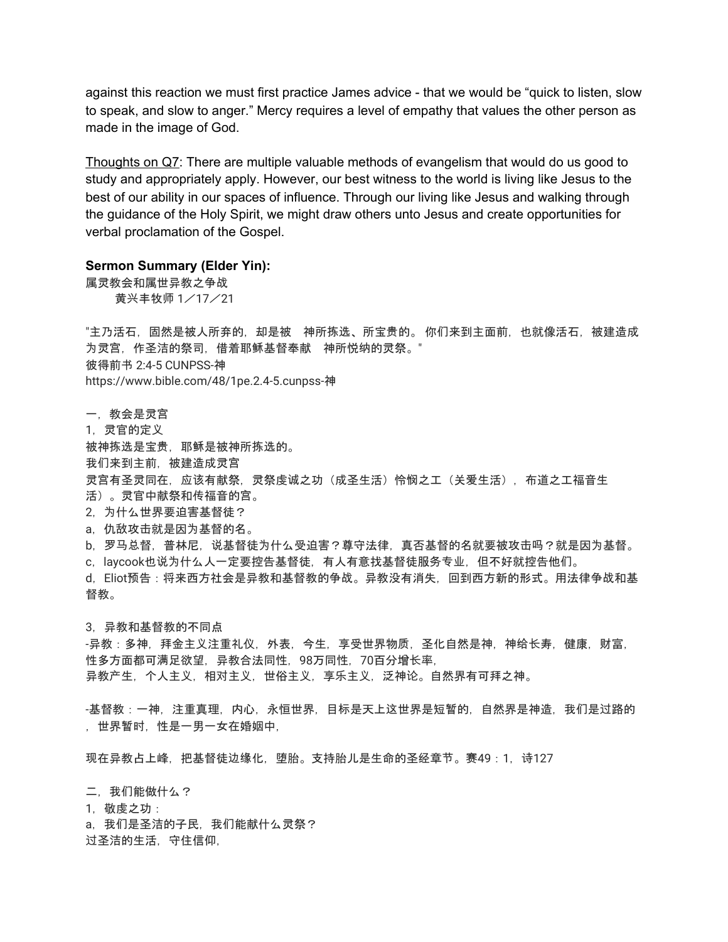against this reaction we must first practice James advice - that we would be "quick to listen, slow to speak, and slow to anger." Mercy requires a level of empathy that values the other person as made in the image of God.

Thoughts on Q7: There are multiple valuable methods of evangelism that would do us good to study and appropriately apply. However, our best witness to the world is living like Jesus to the best of our ability in our spaces of influence. Through our living like Jesus and walking through the guidance of the Holy Spirit, we might draw others unto Jesus and create opportunities for verbal proclamation of the Gospel.

### **Sermon Summary (Elder Yin):**

属灵教会和属世异教之争战 黄兴丰牧师 1/17/21

"主乃活石,固然是被人所弃的,却是被 神所拣选、所宝贵的。 你们来到主面前,也就像活石,被建造成 为灵宫,作圣洁的祭司,借着耶稣基督奉献 神所悦纳的灵祭。" 彼得前书 2:4-5 CUNPSS-神 https://www.bible.com/48/1pe.2.4-5.cunpss-神

- 一,教会是灵宫
- 1,灵官的定义

被神拣选是宝贵,耶稣是被神所拣选的。

我们来到主前,被建造成灵宫

- 灵宫有圣灵同在,应该有献祭,灵祭虔诚之功(成圣生活)怜悯之工(关爱生活),布道之工福音生
- 活)。灵官中献祭和传福音的宫。
- 2,为什么世界要迫害基督徒?
- a,仇敌攻击就是因为基督的名。
- b,罗马总督,普林尼,说基督徒为什么受迫害?尊守法律,真否基督的名就要被攻击吗?就是因为基督。
- c,laycook也说为什么人一定要控告基督徒,有人有意找基督徒服务专业,但不好就控告他们。

d, Eliot预告 : 将来西方社会是异教和基督教的争战。异教没有消失, 回到西方新的形式。用法律争战和基 督教。

3,异教和基督教的不同点

-异教:多神,拜金主义注重礼仪,外表,今生,享受世界物质,圣化自然是神,神给长寿,健康,财富, 性多方面都可满足欲望,异教合法同性,98万同性,70百分增长率, 异教产生,个人主义,相对主义,世俗主义,享乐主义,泛神论。自然界有可拜之神。

-基督教:一神,注重真理,内心,永恒世界,目标是天上这世界是短暂的,自然界是神造,我们是过路的 ,世界暂时,性是一男一女在婚姻中,

现在异教占上峰, 把基督徒边缘化, 堕胎。支持胎儿是生命的圣经章节。赛49:1, 诗127

二,我们能做什么?

1,敬虔之功:

a,我们是圣洁的子民,我们能献什么灵祭? 过圣洁的生活, 守住信仰,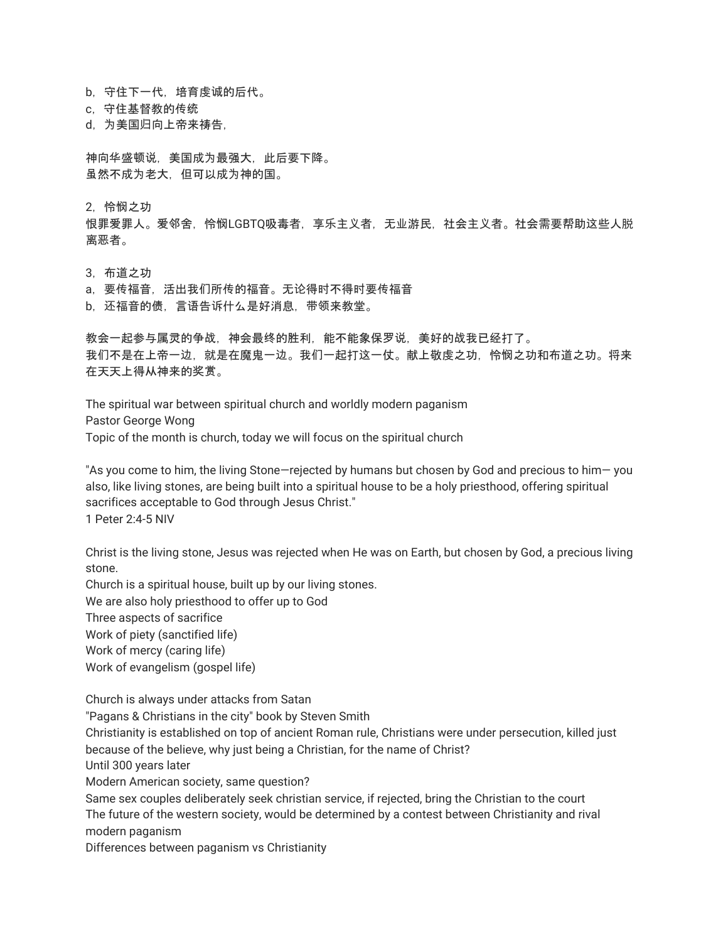b, 守住下一代, 培育虔诚的后代。

c,守住基督教的传统

d,为美国归向上帝来祷告,

神向华盛顿说,美国成为最强大,此后要下降。 虽然不成为老大,但可以成为神的国。

2,怜悯之功

恨罪爱罪人。爱邻舍,怜悯LGBTQ吸毒者,享乐主义者,无业游民,社会主义者。社会需要帮助这些人脱 离恶者。

3,布道之功

a,要传福音,活出我们所传的福音。无论得时不得时要传福音

b,还福音的债,言语告诉什么是好消息,带领来教堂。

教会一起参与属灵的争战,神会最终的胜利,能不能象保罗说,美好的战我已经打了。 我们不是在上帝一边,就是在魔鬼一边。我们一起打这一仗。献上敬虔之功,怜悯之功和布道之功。将来 在天天上得从神来的奖赏。

The spiritual war between spiritual church and worldly modern paganism Pastor George Wong Topic of the month is church, today we will focus on the spiritual church

"As you come to him, the living Stone—rejected by humans but chosen by God and precious to him— you also, like living stones, are being built into a spiritual house to be a holy priesthood, offering spiritual sacrifices acceptable to God through Jesus Christ." 1 Peter 2:4-5 NIV

Christ is the living stone, Jesus was rejected when He was on Earth, but chosen by God, a precious living stone.

Church is a spiritual house, built up by our living stones.

We are also holy priesthood to offer up to God

Three aspects of sacrifice

Work of piety (sanctified life)

Work of mercy (caring life)

Work of evangelism (gospel life)

Church is always under attacks from Satan

"Pagans & Christians in the city" book by Steven Smith

Christianity is established on top of ancient Roman rule, Christians were under persecution, killed just because of the believe, why just being a Christian, for the name of Christ?

Until 300 years later

Modern American society, same question?

Same sex couples deliberately seek christian service, if rejected, bring the Christian to the court The future of the western society, would be determined by a contest between Christianity and rival modern paganism

Differences between paganism vs Christianity